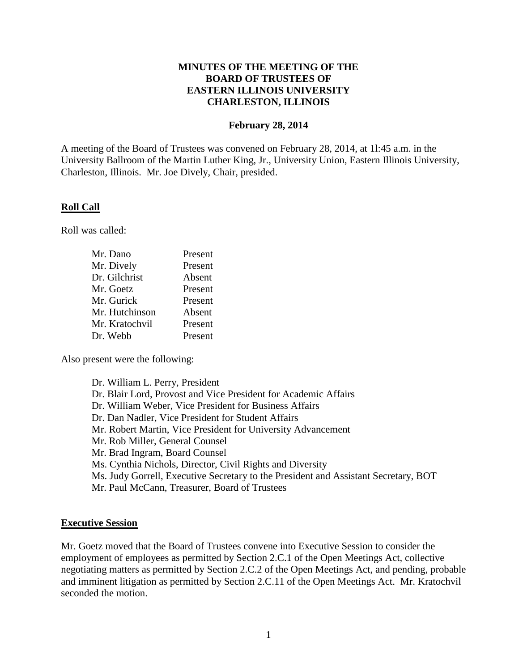### **MINUTES OF THE MEETING OF THE BOARD OF TRUSTEES OF EASTERN ILLINOIS UNIVERSITY CHARLESTON, ILLINOIS**

#### **February 28, 2014**

A meeting of the Board of Trustees was convened on February 28, 2014, at 1l:45 a.m. in the University Ballroom of the Martin Luther King, Jr., University Union, Eastern Illinois University, Charleston, Illinois. Mr. Joe Dively, Chair, presided.

#### **Roll Call**

Roll was called:

| Mr. Dano       | Present |
|----------------|---------|
| Mr. Dively     | Present |
| Dr. Gilchrist  | Absent  |
| Mr. Goetz      | Present |
| Mr. Gurick     | Present |
| Mr. Hutchinson | Absent  |
| Mr. Kratochvil | Present |
| Dr. Webb       | Present |

Also present were the following:

Dr. William L. Perry, President Dr. Blair Lord, Provost and Vice President for Academic Affairs Dr. William Weber, Vice President for Business Affairs Dr. Dan Nadler, Vice President for Student Affairs Mr. Robert Martin, Vice President for University Advancement Mr. Rob Miller, General Counsel Mr. Brad Ingram, Board Counsel Ms. Cynthia Nichols, Director, Civil Rights and Diversity Ms. Judy Gorrell, Executive Secretary to the President and Assistant Secretary, BOT Mr. Paul McCann, Treasurer, Board of Trustees

#### **Executive Session**

Mr. Goetz moved that the Board of Trustees convene into Executive Session to consider the employment of employees as permitted by Section 2.C.1 of the Open Meetings Act, collective negotiating matters as permitted by Section 2.C.2 of the Open Meetings Act, and pending, probable and imminent litigation as permitted by Section 2.C.11 of the Open Meetings Act. Mr. Kratochvil seconded the motion.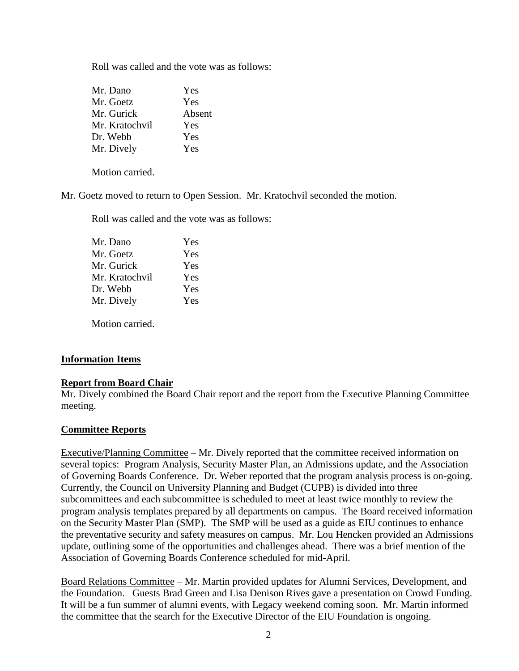Roll was called and the vote was as follows:

| Mr. Dano       | Yes    |
|----------------|--------|
| Mr. Goetz      | Yes    |
| Mr. Gurick     | Absent |
| Mr. Kratochvil | Yes    |
| Dr. Webb       | Yes    |
| Mr. Dively     | Yes    |

Motion carried.

Mr. Goetz moved to return to Open Session. Mr. Kratochvil seconded the motion.

Roll was called and the vote was as follows:

| Yes |
|-----|
| Yes |
| Yes |
| Yes |
| Yes |
| Yes |
|     |

Motion carried.

### **Information Items**

### **Report from Board Chair**

Mr. Dively combined the Board Chair report and the report from the Executive Planning Committee meeting.

### **Committee Reports**

Executive/Planning Committee – Mr. Dively reported that the committee received information on several topics: Program Analysis, Security Master Plan, an Admissions update, and the Association of Governing Boards Conference. Dr. Weber reported that the program analysis process is on-going. Currently, the Council on University Planning and Budget (CUPB) is divided into three subcommittees and each subcommittee is scheduled to meet at least twice monthly to review the program analysis templates prepared by all departments on campus. The Board received information on the Security Master Plan (SMP). The SMP will be used as a guide as EIU continues to enhance the preventative security and safety measures on campus. Mr. Lou Hencken provided an Admissions update, outlining some of the opportunities and challenges ahead. There was a brief mention of the Association of Governing Boards Conference scheduled for mid-April.

Board Relations Committee – Mr. Martin provided updates for Alumni Services, Development, and the Foundation. Guests Brad Green and Lisa Denison Rives gave a presentation on Crowd Funding. It will be a fun summer of alumni events, with Legacy weekend coming soon. Mr. Martin informed the committee that the search for the Executive Director of the EIU Foundation is ongoing.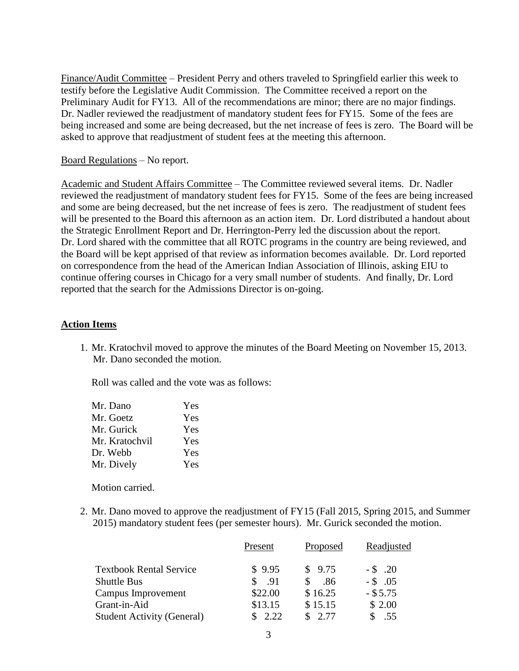Finance/Audit Committee – President Perry and others traveled to Springfield earlier this week to testify before the Legislative Audit Commission. The Committee received a report on the Preliminary Audit for FY13. All of the recommendations are minor; there are no major findings. Dr. Nadler reviewed the readjustment of mandatory student fees for FY15. Some of the fees are being increased and some are being decreased, but the net increase of fees is zero. The Board will be asked to approve that readjustment of student fees at the meeting this afternoon.

### Board Regulations – No report.

Academic and Student Affairs Committee – The Committee reviewed several items. Dr. Nadler reviewed the readjustment of mandatory student fees for FY15. Some of the fees are being increased and some are being decreased, but the net increase of fees is zero. The readjustment of student fees will be presented to the Board this afternoon as an action item. Dr. Lord distributed a handout about the Strategic Enrollment Report and Dr. Herrington-Perry led the discussion about the report. Dr. Lord shared with the committee that all ROTC programs in the country are being reviewed, and the Board will be kept apprised of that review as information becomes available. Dr. Lord reported on correspondence from the head of the American Indian Association of Illinois, asking EIU to continue offering courses in Chicago for a very small number of students. And finally, Dr. Lord reported that the search for the Admissions Director is on-going.

#### **Action Items**

1. Mr. Kratochvil moved to approve the minutes of the Board Meeting on November 15, 2013. Mr. Dano seconded the motion.

Roll was called and the vote was as follows:

| Mr. Dano       | Yes |
|----------------|-----|
| Mr. Goetz      | Yes |
| Mr. Gurick     | Yes |
| Mr. Kratochvil | Yes |
| Dr. Webb       | Yes |
| Mr. Dively     | Yes |

Motion carried.

2. Mr. Dano moved to approve the readjustment of FY15 (Fall 2015, Spring 2015, and Summer 2015) mandatory student fees (per semester hours). Mr. Gurick seconded the motion.

|                                   | Present | Proposed | Readjusted |
|-----------------------------------|---------|----------|------------|
| <b>Textbook Rental Service</b>    | \$9.95  | \$9.75   | $-$ \$ .20 |
| <b>Shuttle Bus</b>                | .91     | .86      | $-$ \$ .05 |
| Campus Improvement                | \$22.00 | \$16.25  | $-$ \$5.75 |
| Grant-in-Aid                      | \$13.15 | \$15.15  | \$2.00     |
| <b>Student Activity (General)</b> | \$2.22  | \$2.77   | .55        |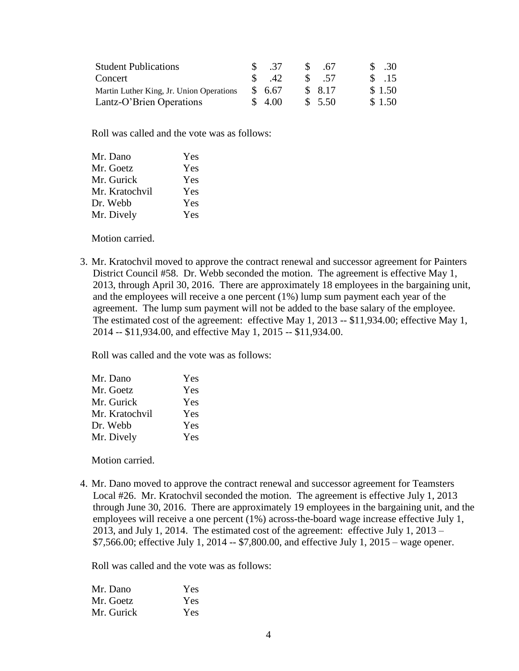| <b>Student Publications</b>              | \$ .37        | $\mathcal{S}$ | - 67    | \$ .30           |
|------------------------------------------|---------------|---------------|---------|------------------|
| Concert                                  | $\frac{1}{2}$ |               | \$ 57   | $\frac{\$}{.15}$ |
| Martin Luther King, Jr. Union Operations | \$6.67        |               | \$ 8.17 | \$1.50           |
| Lantz-O'Brien Operations                 | \$4.00        |               | \$5.50  | \$1.50           |

Roll was called and the vote was as follows:

| Mr. Dano       | Yes |
|----------------|-----|
| Mr. Goetz      | Yes |
| Mr. Gurick     | Yes |
| Mr. Kratochvil | Yes |
| Dr. Webb       | Yes |
| Mr. Dively     | Yes |
|                |     |

Motion carried.

3. Mr. Kratochvil moved to approve the contract renewal and successor agreement for Painters District Council #58. Dr. Webb seconded the motion. The agreement is effective May 1, 2013, through April 30, 2016. There are approximately 18 employees in the bargaining unit, and the employees will receive a one percent (1%) lump sum payment each year of the agreement. The lump sum payment will not be added to the base salary of the employee. The estimated cost of the agreement: effective May 1, 2013 -- \$11,934.00; effective May 1, 2014 -- \$11,934.00, and effective May 1, 2015 -- \$11,934.00.

Roll was called and the vote was as follows:

| Mr. Dano       | Yes |
|----------------|-----|
| Mr. Goetz      | Yes |
| Mr. Gurick     | Yes |
| Mr. Kratochvil | Yes |
| Dr. Webb       | Yes |
| Mr. Dively     | Yes |
|                |     |

Motion carried.

4. Mr. Dano moved to approve the contract renewal and successor agreement for Teamsters Local #26. Mr. Kratochvil seconded the motion. The agreement is effective July 1, 2013 through June 30, 2016. There are approximately 19 employees in the bargaining unit, and the employees will receive a one percent (1%) across-the-board wage increase effective July 1, 2013, and July 1, 2014. The estimated cost of the agreement: effective July 1, 2013 – \$7,566.00; effective July 1, 2014 -- \$7,800.00, and effective July 1, 2015 – wage opener.

Roll was called and the vote was as follows:

| Mr. Dano   | <b>Yes</b> |
|------------|------------|
| Mr. Goetz  | Yes        |
| Mr. Gurick | Yes        |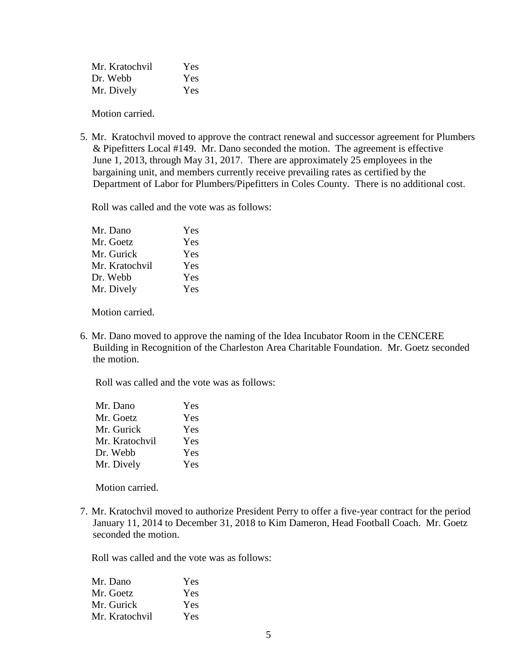| Mr. Kratochvil | Yes |
|----------------|-----|
| Dr. Webb       | Yes |
| Mr. Dively     | Yes |

Motion carried.

5. Mr. Kratochvil moved to approve the contract renewal and successor agreement for Plumbers & Pipefitters Local #149. Mr. Dano seconded the motion. The agreement is effective June 1, 2013, through May 31, 2017. There are approximately 25 employees in the bargaining unit, and members currently receive prevailing rates as certified by the Department of Labor for Plumbers/Pipefitters in Coles County. There is no additional cost.

Roll was called and the vote was as follows:

| Mr. Dano       | Yes |
|----------------|-----|
| Mr. Goetz      | Yes |
| Mr. Gurick     | Yes |
| Mr. Kratochvil | Yes |
| Dr. Webb       | Yes |
| Mr. Dively     | Yes |
|                |     |

Motion carried.

6. Mr. Dano moved to approve the naming of the Idea Incubator Room in the CENCERE Building in Recognition of the Charleston Area Charitable Foundation. Mr. Goetz seconded the motion.

Roll was called and the vote was as follows:

| Mr. Dano       | Yes |
|----------------|-----|
| Mr. Goetz      | Yes |
| Mr. Gurick     | Yes |
| Mr. Kratochvil | Yes |
| Dr. Webb       | Yes |
| Mr. Dively     | Yes |

Motion carried.

7. Mr. Kratochvil moved to authorize President Perry to offer a five-year contract for the period January 11, 2014 to December 31, 2018 to Kim Dameron, Head Football Coach. Mr. Goetz seconded the motion.

Roll was called and the vote was as follows:

| Mr. Dano       | Yes |
|----------------|-----|
| Mr. Goetz      | Yes |
| Mr. Gurick     | Yes |
| Mr. Kratochvil | Yes |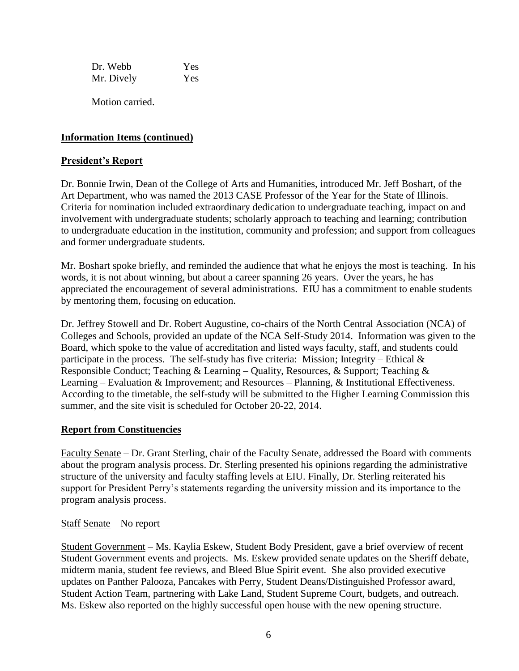Dr. Webb Yes Mr. Dively Yes

Motion carried.

# **Information Items (continued)**

### **President's Report**

Dr. Bonnie Irwin, Dean of the College of Arts and Humanities, introduced Mr. Jeff Boshart, of the Art Department, who was named the 2013 CASE Professor of the Year for the State of Illinois. Criteria for nomination included extraordinary dedication to undergraduate teaching, impact on and involvement with undergraduate students; scholarly approach to teaching and learning; contribution to undergraduate education in the institution, community and profession; and support from colleagues and former undergraduate students.

Mr. Boshart spoke briefly, and reminded the audience that what he enjoys the most is teaching. In his words, it is not about winning, but about a career spanning 26 years. Over the years, he has appreciated the encouragement of several administrations. EIU has a commitment to enable students by mentoring them, focusing on education.

Dr. Jeffrey Stowell and Dr. Robert Augustine, co-chairs of the North Central Association (NCA) of Colleges and Schools, provided an update of the NCA Self-Study 2014. Information was given to the Board, which spoke to the value of accreditation and listed ways faculty, staff, and students could participate in the process. The self-study has five criteria: Mission; Integrity – Ethical  $\&$ Responsible Conduct; Teaching & Learning – Quality, Resources, & Support; Teaching & Learning – Evaluation & Improvement; and Resources – Planning, & Institutional Effectiveness. According to the timetable, the self-study will be submitted to the Higher Learning Commission this summer, and the site visit is scheduled for October 20-22, 2014.

### **Report from Constituencies**

Faculty Senate – Dr. Grant Sterling, chair of the Faculty Senate, addressed the Board with comments about the program analysis process. Dr. Sterling presented his opinions regarding the administrative structure of the university and faculty staffing levels at EIU. Finally, Dr. Sterling reiterated his support for President Perry's statements regarding the university mission and its importance to the program analysis process.

### Staff Senate – No report

Student Government – Ms. Kaylia Eskew, Student Body President, gave a brief overview of recent Student Government events and projects. Ms. Eskew provided senate updates on the Sheriff debate, midterm mania, student fee reviews, and Bleed Blue Spirit event. She also provided executive updates on Panther Palooza, Pancakes with Perry, Student Deans/Distinguished Professor award, Student Action Team, partnering with Lake Land, Student Supreme Court, budgets, and outreach. Ms. Eskew also reported on the highly successful open house with the new opening structure.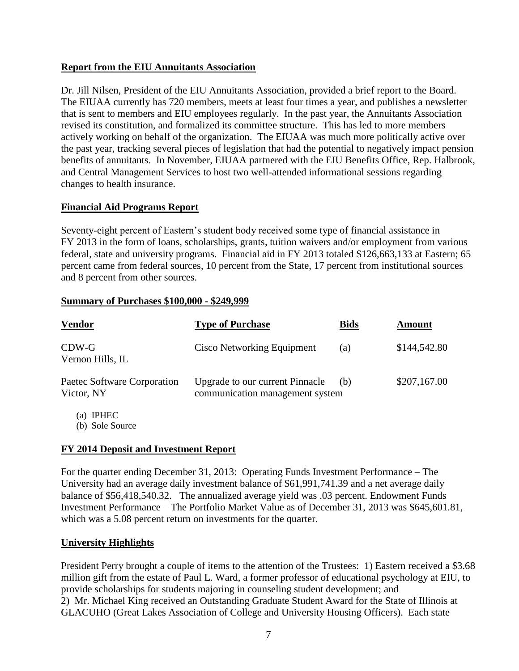## **Report from the EIU Annuitants Association**

Dr. Jill Nilsen, President of the EIU Annuitants Association, provided a brief report to the Board. The EIUAA currently has 720 members, meets at least four times a year, and publishes a newsletter that is sent to members and EIU employees regularly. In the past year, the Annuitants Association revised its constitution, and formalized its committee structure. This has led to more members actively working on behalf of the organization. The EIUAA was much more politically active over the past year, tracking several pieces of legislation that had the potential to negatively impact pension benefits of annuitants. In November, EIUAA partnered with the EIU Benefits Office, Rep. Halbrook, and Central Management Services to host two well-attended informational sessions regarding changes to health insurance.

# **Financial Aid Programs Report**

Seventy-eight percent of Eastern's student body received some type of financial assistance in FY 2013 in the form of loans, scholarships, grants, tuition waivers and/or employment from various federal, state and university programs. Financial aid in FY 2013 totaled \$126,663,133 at Eastern; 65 percent came from federal sources, 10 percent from the State, 17 percent from institutional sources and 8 percent from other sources.

### **Summary of Purchases \$100,000 - \$249,999**

| <b>Vendor</b>                             | <b>Type of Purchase</b>                                                   | <b>Bids</b> | Amount       |
|-------------------------------------------|---------------------------------------------------------------------------|-------------|--------------|
| $CDW-G$<br>Vernon Hills, IL               | Cisco Networking Equipment                                                | (a)         | \$144,542.80 |
| Paetec Software Corporation<br>Victor, NY | <b>Upgrade to our current Pinnacle</b><br>communication management system | (b)         | \$207,167.00 |
| <b>IPHEC</b><br>(a)<br>(b) Sole Source    |                                                                           |             |              |

### **FY 2014 Deposit and Investment Report**

For the quarter ending December 31, 2013: Operating Funds Investment Performance – The University had an average daily investment balance of \$61,991,741.39 and a net average daily balance of \$56,418,540.32. The annualized average yield was .03 percent. Endowment Funds Investment Performance – The Portfolio Market Value as of December 31, 2013 was \$645,601.81, which was a 5.08 percent return on investments for the quarter.

### **University Highlights**

President Perry brought a couple of items to the attention of the Trustees: 1) Eastern received a \$3.68 million gift from the estate of Paul L. Ward, a former professor of educational psychology at EIU, to provide scholarships for students majoring in counseling student development; and 2) Mr. Michael King received an Outstanding Graduate Student Award for the State of Illinois at GLACUHO (Great Lakes Association of College and University Housing Officers). Each state